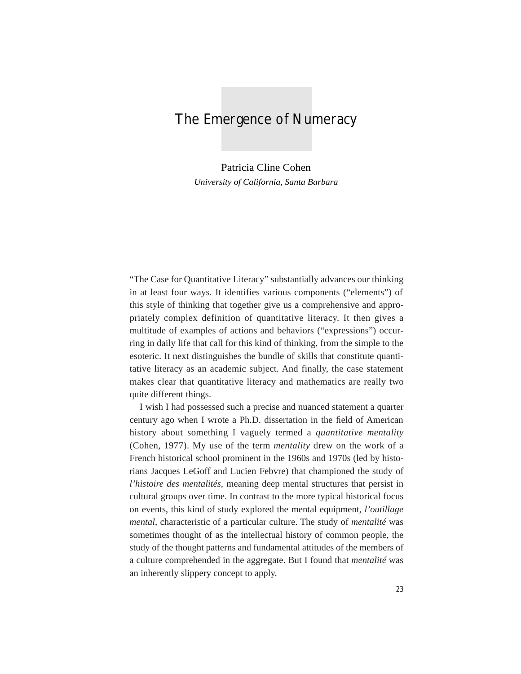# The Emergence of Numeracy

Patricia Cline Cohen *University of California, Santa Barbara*

"The Case for Quantitative Literacy" substantially advances our thinking in at least four ways. It identifies various components ("elements") of this style of thinking that together give us a comprehensive and appropriately complex definition of quantitative literacy. It then gives a multitude of examples of actions and behaviors ("expressions") occurring in daily life that call for this kind of thinking, from the simple to the esoteric. It next distinguishes the bundle of skills that constitute quantitative literacy as an academic subject. And finally, the case statement makes clear that quantitative literacy and mathematics are really two quite different things.

I wish I had possessed such a precise and nuanced statement a quarter century ago when I wrote a Ph.D. dissertation in the field of American history about something I vaguely termed a *quantitative mentality* (Cohen, 1977). My use of the term *mentality* drew on the work of a French historical school prominent in the 1960s and 1970s (led by historians Jacques LeGoff and Lucien Febvre) that championed the study of *l'histoire des mentalités,* meaning deep mental structures that persist in cultural groups over time. In contrast to the more typical historical focus on events, this kind of study explored the mental equipment, *l'outillage mental*, characteristic of a particular culture. The study of *mentalité* was sometimes thought of as the intellectual history of common people, the study of the thought patterns and fundamental attitudes of the members of a culture comprehended in the aggregate. But I found that *mentalité* was an inherently slippery concept to apply.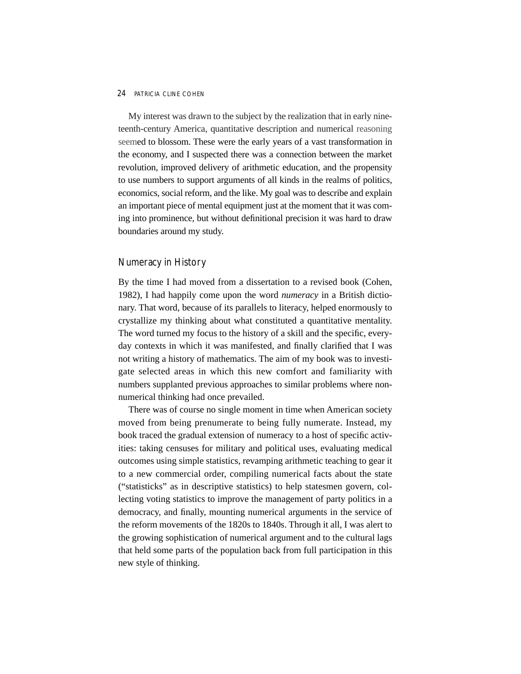#### 24 PATRICIA CLINE COHEN

My interest was drawn to the subject by the realization that in early nineteenth-century America, quantitative description and numerical reasoning seemed to blossom. These were the early years of a vast transformation in the economy, and I suspected there was a connection between the market revolution, improved delivery of arithmetic education, and the propensity to use numbers to support arguments of all kinds in the realms of politics, economics, social reform, and the like. My goal was to describe and explain an important piece of mental equipment just at the moment that it was coming into prominence, but without definitional precision it was hard to draw boundaries around my study.

## Numeracy in History

By the time I had moved from a dissertation to a revised book (Cohen, 1982), I had happily come upon the word *numeracy* in a British dictionary. That word, because of its parallels to literacy, helped enormously to crystallize my thinking about what constituted a quantitative mentality. The word turned my focus to the history of a skill and the specific, everyday contexts in which it was manifested, and finally clarified that I was not writing a history of mathematics. The aim of my book was to investigate selected areas in which this new comfort and familiarity with numbers supplanted previous approaches to similar problems where nonnumerical thinking had once prevailed.

There was of course no single moment in time when American society moved from being prenumerate to being fully numerate. Instead, my book traced the gradual extension of numeracy to a host of specific activities: taking censuses for military and political uses, evaluating medical outcomes using simple statistics, revamping arithmetic teaching to gear it to a new commercial order, compiling numerical facts about the state ("statisticks" as in descriptive statistics) to help statesmen govern, collecting voting statistics to improve the management of party politics in a democracy, and finally, mounting numerical arguments in the service of the reform movements of the 1820s to 1840s. Through it all, I was alert to the growing sophistication of numerical argument and to the cultural lags that held some parts of the population back from full participation in this new style of thinking.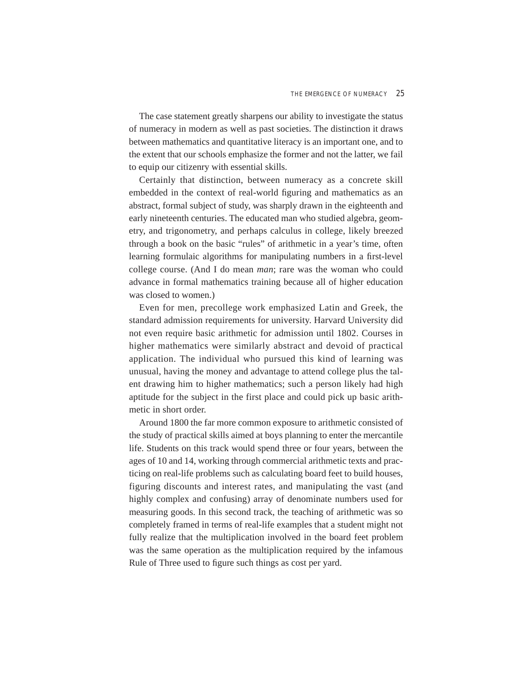The case statement greatly sharpens our ability to investigate the status of numeracy in modern as well as past societies. The distinction it draws between mathematics and quantitative literacy is an important one, and to the extent that our schools emphasize the former and not the latter, we fail to equip our citizenry with essential skills.

Certainly that distinction, between numeracy as a concrete skill embedded in the context of real-world figuring and mathematics as an abstract, formal subject of study, was sharply drawn in the eighteenth and early nineteenth centuries. The educated man who studied algebra, geometry, and trigonometry, and perhaps calculus in college, likely breezed through a book on the basic "rules" of arithmetic in a year's time, often learning formulaic algorithms for manipulating numbers in a first-level college course. (And I do mean *man*; rare was the woman who could advance in formal mathematics training because all of higher education was closed to women.)

Even for men, precollege work emphasized Latin and Greek, the standard admission requirements for university. Harvard University did not even require basic arithmetic for admission until 1802. Courses in higher mathematics were similarly abstract and devoid of practical application. The individual who pursued this kind of learning was unusual, having the money and advantage to attend college plus the talent drawing him to higher mathematics; such a person likely had high aptitude for the subject in the first place and could pick up basic arithmetic in short order.

Around 1800 the far more common exposure to arithmetic consisted of the study of practical skills aimed at boys planning to enter the mercantile life. Students on this track would spend three or four years, between the ages of 10 and 14, working through commercial arithmetic texts and practicing on real-life problems such as calculating board feet to build houses, figuring discounts and interest rates, and manipulating the vast (and highly complex and confusing) array of denominate numbers used for measuring goods. In this second track, the teaching of arithmetic was so completely framed in terms of real-life examples that a student might not fully realize that the multiplication involved in the board feet problem was the same operation as the multiplication required by the infamous Rule of Three used to figure such things as cost per yard.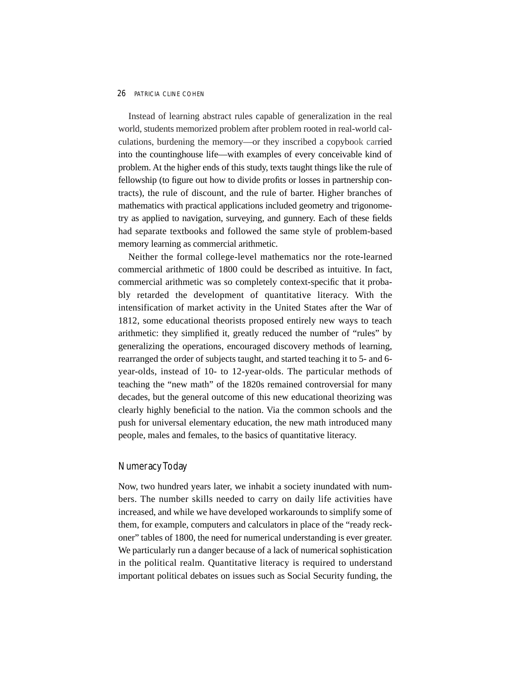#### 26 PATRICIA CLINE COHEN

Instead of learning abstract rules capable of generalization in the real world, students memorized problem after problem rooted in real-world calculations, burdening the memory—or they inscribed a copybook carried into the countinghouse life—with examples of every conceivable kind of problem. At the higher ends of this study, texts taught things like the rule of fellowship (to figure out how to divide profits or losses in partnership contracts), the rule of discount, and the rule of barter. Higher branches of mathematics with practical applications included geometry and trigonometry as applied to navigation, surveying, and gunnery. Each of these fields had separate textbooks and followed the same style of problem-based memory learning as commercial arithmetic.

Neither the formal college-level mathematics nor the rote-learned commercial arithmetic of 1800 could be described as intuitive. In fact, commercial arithmetic was so completely context-specific that it probably retarded the development of quantitative literacy. With the intensification of market activity in the United States after the War of 1812, some educational theorists proposed entirely new ways to teach arithmetic: they simplified it, greatly reduced the number of "rules" by generalizing the operations, encouraged discovery methods of learning, rearranged the order of subjects taught, and started teaching it to 5- and 6 year-olds, instead of 10- to 12-year-olds. The particular methods of teaching the "new math" of the 1820s remained controversial for many decades, but the general outcome of this new educational theorizing was clearly highly beneficial to the nation. Via the common schools and the push for universal elementary education, the new math introduced many people, males and females, to the basics of quantitative literacy.

## Numeracy Today

Now, two hundred years later, we inhabit a society inundated with numbers. The number skills needed to carry on daily life activities have increased, and while we have developed workarounds to simplify some of them, for example, computers and calculators in place of the "ready reckoner" tables of 1800, the need for numerical understanding is ever greater. We particularly run a danger because of a lack of numerical sophistication in the political realm. Quantitative literacy is required to understand important political debates on issues such as Social Security funding, the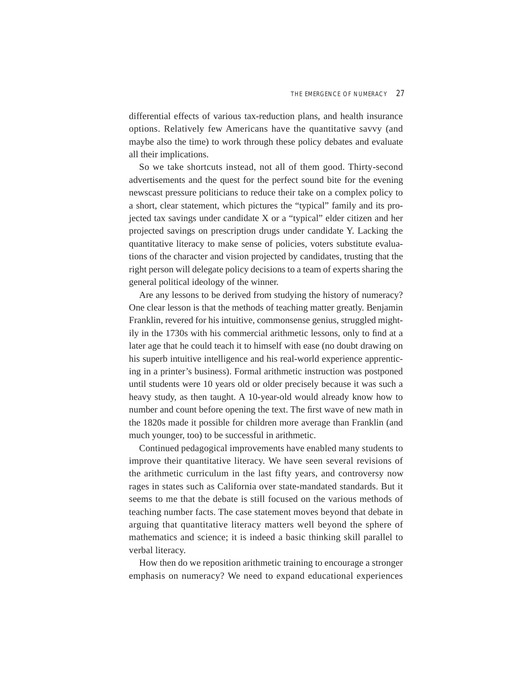differential effects of various tax-reduction plans, and health insurance options. Relatively few Americans have the quantitative savvy (and maybe also the time) to work through these policy debates and evaluate all their implications.

So we take shortcuts instead, not all of them good. Thirty-second advertisements and the quest for the perfect sound bite for the evening newscast pressure politicians to reduce their take on a complex policy to a short, clear statement, which pictures the "typical" family and its projected tax savings under candidate X or a "typical" elder citizen and her projected savings on prescription drugs under candidate Y. Lacking the quantitative literacy to make sense of policies, voters substitute evaluations of the character and vision projected by candidates, trusting that the right person will delegate policy decisions to a team of experts sharing the general political ideology of the winner.

Are any lessons to be derived from studying the history of numeracy? One clear lesson is that the methods of teaching matter greatly. Benjamin Franklin, revered for his intuitive, commonsense genius, struggled mightily in the 1730s with his commercial arithmetic lessons, only to find at a later age that he could teach it to himself with ease (no doubt drawing on his superb intuitive intelligence and his real-world experience apprenticing in a printer's business). Formal arithmetic instruction was postponed until students were 10 years old or older precisely because it was such a heavy study, as then taught. A 10-year-old would already know how to number and count before opening the text. The first wave of new math in the 1820s made it possible for children more average than Franklin (and much younger, too) to be successful in arithmetic.

Continued pedagogical improvements have enabled many students to improve their quantitative literacy. We have seen several revisions of the arithmetic curriculum in the last fifty years, and controversy now rages in states such as California over state-mandated standards. But it seems to me that the debate is still focused on the various methods of teaching number facts. The case statement moves beyond that debate in arguing that quantitative literacy matters well beyond the sphere of mathematics and science; it is indeed a basic thinking skill parallel to verbal literacy.

How then do we reposition arithmetic training to encourage a stronger emphasis on numeracy? We need to expand educational experiences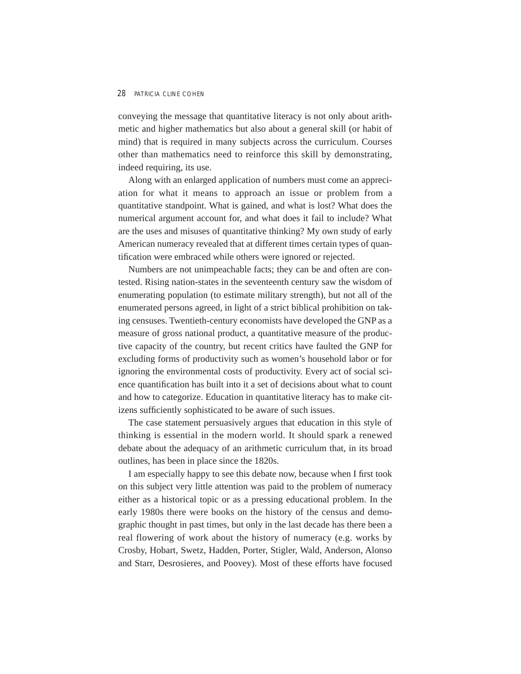#### 28 PATRICIA CLINE COHEN

conveying the message that quantitative literacy is not only about arithmetic and higher mathematics but also about a general skill (or habit of mind) that is required in many subjects across the curriculum. Courses other than mathematics need to reinforce this skill by demonstrating, indeed requiring, its use.

Along with an enlarged application of numbers must come an appreciation for what it means to approach an issue or problem from a quantitative standpoint. What is gained, and what is lost? What does the numerical argument account for, and what does it fail to include? What are the uses and misuses of quantitative thinking? My own study of early American numeracy revealed that at different times certain types of quantification were embraced while others were ignored or rejected.

Numbers are not unimpeachable facts; they can be and often are contested. Rising nation-states in the seventeenth century saw the wisdom of enumerating population (to estimate military strength), but not all of the enumerated persons agreed, in light of a strict biblical prohibition on taking censuses. Twentieth-century economists have developed the GNP as a measure of gross national product, a quantitative measure of the productive capacity of the country, but recent critics have faulted the GNP for excluding forms of productivity such as women's household labor or for ignoring the environmental costs of productivity. Every act of social science quantification has built into it a set of decisions about what to count and how to categorize. Education in quantitative literacy has to make citizens sufficiently sophisticated to be aware of such issues.

The case statement persuasively argues that education in this style of thinking is essential in the modern world. It should spark a renewed debate about the adequacy of an arithmetic curriculum that, in its broad outlines, has been in place since the 1820s.

I am especially happy to see this debate now, because when I first took on this subject very little attention was paid to the problem of numeracy either as a historical topic or as a pressing educational problem. In the early 1980s there were books on the history of the census and demographic thought in past times, but only in the last decade has there been a real flowering of work about the history of numeracy (e.g. works by Crosby, Hobart, Swetz, Hadden, Porter, Stigler, Wald, Anderson, Alonso and Starr, Desrosieres, and Poovey). Most of these efforts have focused